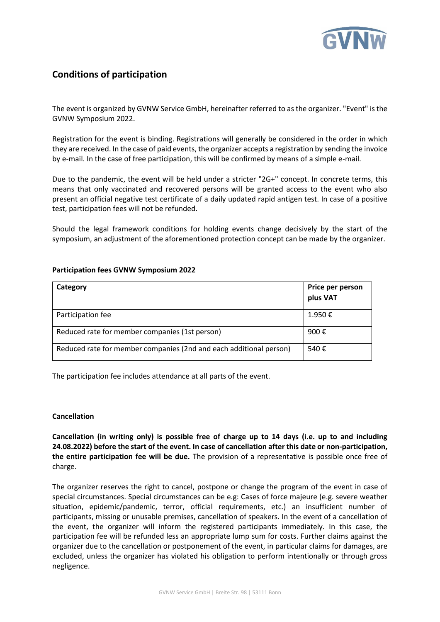

# **Conditions of participation**

The event is organized by GVNW Service GmbH, hereinafter referred to as the organizer. "Event" is the GVNW Symposium 2022.

Registration for the event is binding. Registrations will generally be considered in the order in which they are received. In the case of paid events, the organizer accepts a registration by sending the invoice by e-mail. In the case of free participation, this will be confirmed by means of a simple e-mail.

Due to the pandemic, the event will be held under a stricter "2G+" concept. In concrete terms, this means that only vaccinated and recovered persons will be granted access to the event who also present an official negative test certificate of a daily updated rapid antigen test. In case of a positive test, participation fees will not be refunded.

Should the legal framework conditions for holding events change decisively by the start of the symposium, an adjustment of the aforementioned protection concept can be made by the organizer.

| Category                                                           | Price per person<br>plus VAT |
|--------------------------------------------------------------------|------------------------------|
| Participation fee                                                  | 1.950€                       |
| Reduced rate for member companies (1st person)                     | 900€                         |
| Reduced rate for member companies (2nd and each additional person) | 540€                         |

## **Participation fees GVNW Symposium 2022**

The participation fee includes attendance at all parts of the event.

#### **Cancellation**

**Cancellation (in writing only) is possible free of charge up to 14 days (i.e. up to and including 24.08.2022) before the start of the event. In case of cancellation after this date or non-participation, the entire participation fee will be due.** The provision of a representative is possible once free of charge.

The organizer reserves the right to cancel, postpone or change the program of the event in case of special circumstances. Special circumstances can be e.g: Cases of force majeure (e.g. severe weather situation, epidemic/pandemic, terror, official requirements, etc.) an insufficient number of participants, missing or unusable premises, cancellation of speakers. In the event of a cancellation of the event, the organizer will inform the registered participants immediately. In this case, the participation fee will be refunded less an appropriate lump sum for costs. Further claims against the organizer due to the cancellation or postponement of the event, in particular claims for damages, are excluded, unless the organizer has violated his obligation to perform intentionally or through gross negligence.